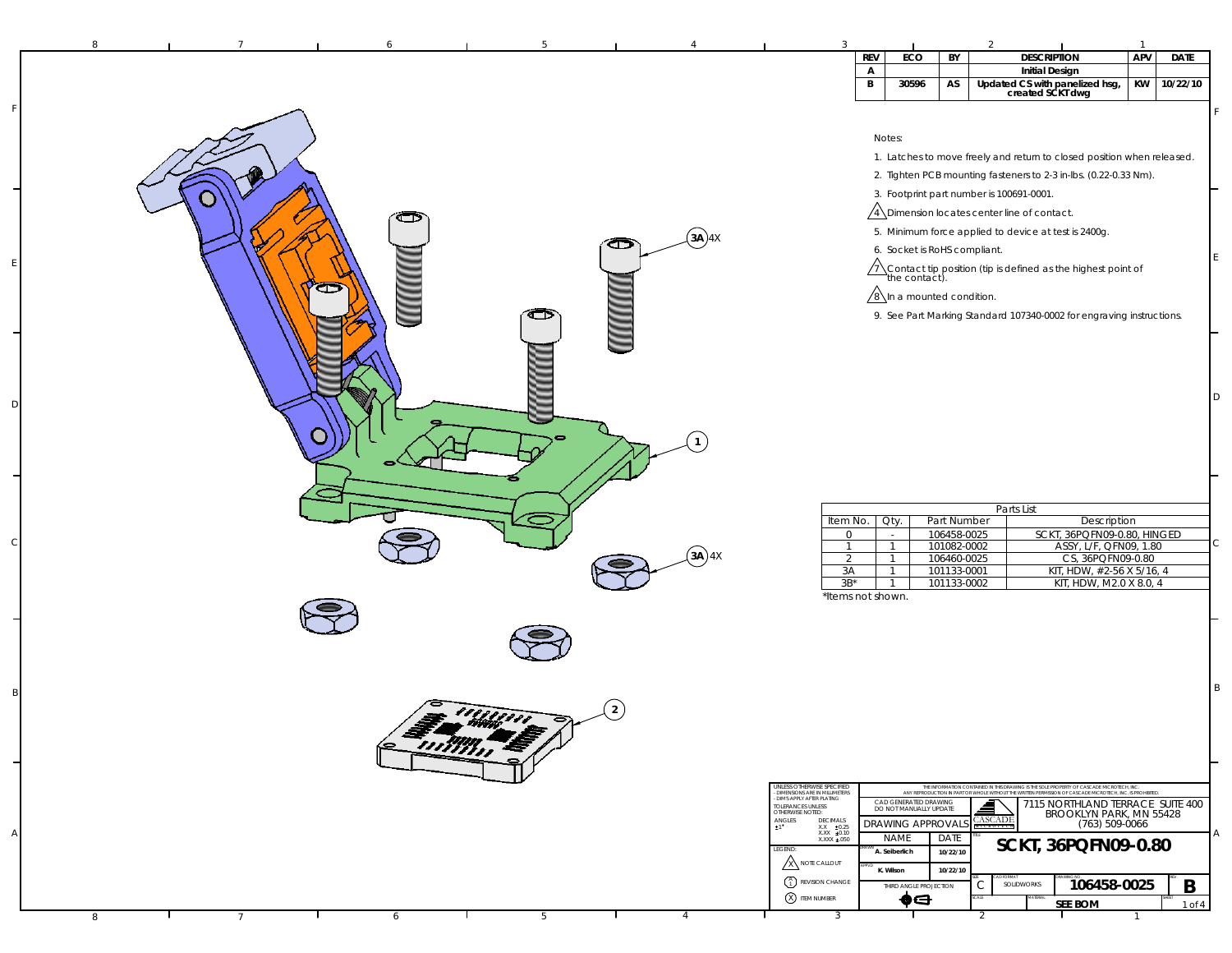| APV<br>ECO<br><b>DESCRIPTION</b><br><b>DATE</b><br><b>REV</b><br>BY<br><b>Initial Design</b><br>$\mathsf{A}$<br>KW<br>10/22/10<br>В<br>30596<br>AS<br>Updated CS with panelized hsg,<br>created SCKT dwg<br>Notes:<br>1. Latches to move freely and return to closed position when released.<br>2. Tighten PCB mounting fasteners to 2-3 in-lbs. (0.22-0.33 Nm).<br>3. Footprint part number is 100691-0001.<br>$\sqrt{4}$ Dimension locates center line of contact.<br>5. Minimum force applied to device at test is 2400g.<br>$(3A)$ 4X<br>☎<br>6. Socket is RoHS compliant.<br>$\sqrt{1}$ Contact tip position (tip is defined as the highest point of the contact).<br>Œ<br>$\sqrt{8}$ In a mounted condition.<br>9. See Part Marking Standard 107340-0002 for engraving instructions.<br>⊐<br>D<br>Parts List<br>Part Number<br>Description<br>Item No.<br>Oty.<br>106458-0025<br>SCKT, 36PQFN09-0.80, HINGED<br>$\mathbf 0$<br>$\sim$<br>С<br>101082-0002<br>ASSY, L/F, QFN09, 1.80<br>$\overline{1}$<br>$\mathbf{1}$<br>(a)<br>CS, 36PQFN09-0.80<br>106460-0025<br>$\overline{2}$<br>$\overline{1}$<br>KIT, HDW, #2-56 X 5/16, 4<br>3A<br>101133-0001<br>-1<br>KIT, HDW, M2.0 X 8.0, 4<br>$3B^*$<br>101133-0002<br>$\mathbf{1}$<br>*Items not shown.<br>B<br>1111111<br>Enima E<br>UNLESS OTHERWISE SPECIFIED<br>THE INFORMATION CONTAINED IN THIS DRAWING IS THE SOLE PROPERTY OF CASCADE MICROTECH, INC<br>ANY REPRODUCTION IN PART OR WHOLE WITHOUT THE WRITEN PERMISSION OF CASCADE MICROTECH. INC. IS PROHIBITED<br>- DIMENSIONS ARE IN MILLIMETERS<br>- DIMS APPLY AFTER PLATING<br>CAD GENERATED DRAWING<br>DO NOT MANUALLY UPDATE<br>7115 NORTHLAND TERRACE SUITE 400<br>TOLERANCES UNLESS<br>OTHERWISE NOTED:<br>BROOKLYN PARK, MN 55428<br><b>CASCADE</b><br>$\underset{\pm 1}{\text{ANGLES}}$<br>DECIMALS<br><b>DRAWING APPROVAL</b><br>$(763) 509 - 0066$<br>$\begin{array}{r} \nX.X & \pm 0.25 \\ X.X & \pm 0.10\n\end{array}$<br>Α<br><b>NAME</b><br>DATE<br>XXXX ±.050<br>SCKT, 36PQFN09-0.80<br>LEGEND:<br>A. Seiberlich<br>10/22/10<br><b>X</b> NOTE CALLOUT<br>K. Wilson<br>10/22/10<br>$\begin{pmatrix} A \\ 1 \end{pmatrix}$ REVISION CHANGE<br>106458-0025<br>B<br>С<br>SOLIDWORKS<br>THIRD ANGLE PROJECTION<br>X ITEM NUMBER<br>$\bullet \ominus$<br><b>SEE BOM</b><br>1 of 4 | 8 |  |  | -3 |  |  | $\overline{1}$ |  |
|------------------------------------------------------------------------------------------------------------------------------------------------------------------------------------------------------------------------------------------------------------------------------------------------------------------------------------------------------------------------------------------------------------------------------------------------------------------------------------------------------------------------------------------------------------------------------------------------------------------------------------------------------------------------------------------------------------------------------------------------------------------------------------------------------------------------------------------------------------------------------------------------------------------------------------------------------------------------------------------------------------------------------------------------------------------------------------------------------------------------------------------------------------------------------------------------------------------------------------------------------------------------------------------------------------------------------------------------------------------------------------------------------------------------------------------------------------------------------------------------------------------------------------------------------------------------------------------------------------------------------------------------------------------------------------------------------------------------------------------------------------------------------------------------------------------------------------------------------------------------------------------------------------------------------------------------------------------------------------------------------------------------------------------------------------------------------------------------------------------------------------------------------------------------------------------------------------------------------------------------------------------------------------------------------------|---|--|--|----|--|--|----------------|--|
|                                                                                                                                                                                                                                                                                                                                                                                                                                                                                                                                                                                                                                                                                                                                                                                                                                                                                                                                                                                                                                                                                                                                                                                                                                                                                                                                                                                                                                                                                                                                                                                                                                                                                                                                                                                                                                                                                                                                                                                                                                                                                                                                                                                                                                                                                                            |   |  |  |    |  |  |                |  |
|                                                                                                                                                                                                                                                                                                                                                                                                                                                                                                                                                                                                                                                                                                                                                                                                                                                                                                                                                                                                                                                                                                                                                                                                                                                                                                                                                                                                                                                                                                                                                                                                                                                                                                                                                                                                                                                                                                                                                                                                                                                                                                                                                                                                                                                                                                            |   |  |  |    |  |  |                |  |
|                                                                                                                                                                                                                                                                                                                                                                                                                                                                                                                                                                                                                                                                                                                                                                                                                                                                                                                                                                                                                                                                                                                                                                                                                                                                                                                                                                                                                                                                                                                                                                                                                                                                                                                                                                                                                                                                                                                                                                                                                                                                                                                                                                                                                                                                                                            |   |  |  |    |  |  |                |  |
|                                                                                                                                                                                                                                                                                                                                                                                                                                                                                                                                                                                                                                                                                                                                                                                                                                                                                                                                                                                                                                                                                                                                                                                                                                                                                                                                                                                                                                                                                                                                                                                                                                                                                                                                                                                                                                                                                                                                                                                                                                                                                                                                                                                                                                                                                                            |   |  |  |    |  |  |                |  |
|                                                                                                                                                                                                                                                                                                                                                                                                                                                                                                                                                                                                                                                                                                                                                                                                                                                                                                                                                                                                                                                                                                                                                                                                                                                                                                                                                                                                                                                                                                                                                                                                                                                                                                                                                                                                                                                                                                                                                                                                                                                                                                                                                                                                                                                                                                            |   |  |  |    |  |  |                |  |
|                                                                                                                                                                                                                                                                                                                                                                                                                                                                                                                                                                                                                                                                                                                                                                                                                                                                                                                                                                                                                                                                                                                                                                                                                                                                                                                                                                                                                                                                                                                                                                                                                                                                                                                                                                                                                                                                                                                                                                                                                                                                                                                                                                                                                                                                                                            |   |  |  |    |  |  |                |  |
|                                                                                                                                                                                                                                                                                                                                                                                                                                                                                                                                                                                                                                                                                                                                                                                                                                                                                                                                                                                                                                                                                                                                                                                                                                                                                                                                                                                                                                                                                                                                                                                                                                                                                                                                                                                                                                                                                                                                                                                                                                                                                                                                                                                                                                                                                                            |   |  |  |    |  |  |                |  |
|                                                                                                                                                                                                                                                                                                                                                                                                                                                                                                                                                                                                                                                                                                                                                                                                                                                                                                                                                                                                                                                                                                                                                                                                                                                                                                                                                                                                                                                                                                                                                                                                                                                                                                                                                                                                                                                                                                                                                                                                                                                                                                                                                                                                                                                                                                            |   |  |  |    |  |  |                |  |
|                                                                                                                                                                                                                                                                                                                                                                                                                                                                                                                                                                                                                                                                                                                                                                                                                                                                                                                                                                                                                                                                                                                                                                                                                                                                                                                                                                                                                                                                                                                                                                                                                                                                                                                                                                                                                                                                                                                                                                                                                                                                                                                                                                                                                                                                                                            |   |  |  |    |  |  |                |  |
|                                                                                                                                                                                                                                                                                                                                                                                                                                                                                                                                                                                                                                                                                                                                                                                                                                                                                                                                                                                                                                                                                                                                                                                                                                                                                                                                                                                                                                                                                                                                                                                                                                                                                                                                                                                                                                                                                                                                                                                                                                                                                                                                                                                                                                                                                                            |   |  |  |    |  |  |                |  |
|                                                                                                                                                                                                                                                                                                                                                                                                                                                                                                                                                                                                                                                                                                                                                                                                                                                                                                                                                                                                                                                                                                                                                                                                                                                                                                                                                                                                                                                                                                                                                                                                                                                                                                                                                                                                                                                                                                                                                                                                                                                                                                                                                                                                                                                                                                            |   |  |  |    |  |  |                |  |
|                                                                                                                                                                                                                                                                                                                                                                                                                                                                                                                                                                                                                                                                                                                                                                                                                                                                                                                                                                                                                                                                                                                                                                                                                                                                                                                                                                                                                                                                                                                                                                                                                                                                                                                                                                                                                                                                                                                                                                                                                                                                                                                                                                                                                                                                                                            |   |  |  |    |  |  |                |  |
|                                                                                                                                                                                                                                                                                                                                                                                                                                                                                                                                                                                                                                                                                                                                                                                                                                                                                                                                                                                                                                                                                                                                                                                                                                                                                                                                                                                                                                                                                                                                                                                                                                                                                                                                                                                                                                                                                                                                                                                                                                                                                                                                                                                                                                                                                                            |   |  |  |    |  |  |                |  |
|                                                                                                                                                                                                                                                                                                                                                                                                                                                                                                                                                                                                                                                                                                                                                                                                                                                                                                                                                                                                                                                                                                                                                                                                                                                                                                                                                                                                                                                                                                                                                                                                                                                                                                                                                                                                                                                                                                                                                                                                                                                                                                                                                                                                                                                                                                            |   |  |  |    |  |  |                |  |
|                                                                                                                                                                                                                                                                                                                                                                                                                                                                                                                                                                                                                                                                                                                                                                                                                                                                                                                                                                                                                                                                                                                                                                                                                                                                                                                                                                                                                                                                                                                                                                                                                                                                                                                                                                                                                                                                                                                                                                                                                                                                                                                                                                                                                                                                                                            |   |  |  |    |  |  |                |  |
|                                                                                                                                                                                                                                                                                                                                                                                                                                                                                                                                                                                                                                                                                                                                                                                                                                                                                                                                                                                                                                                                                                                                                                                                                                                                                                                                                                                                                                                                                                                                                                                                                                                                                                                                                                                                                                                                                                                                                                                                                                                                                                                                                                                                                                                                                                            |   |  |  |    |  |  |                |  |
|                                                                                                                                                                                                                                                                                                                                                                                                                                                                                                                                                                                                                                                                                                                                                                                                                                                                                                                                                                                                                                                                                                                                                                                                                                                                                                                                                                                                                                                                                                                                                                                                                                                                                                                                                                                                                                                                                                                                                                                                                                                                                                                                                                                                                                                                                                            |   |  |  |    |  |  |                |  |
|                                                                                                                                                                                                                                                                                                                                                                                                                                                                                                                                                                                                                                                                                                                                                                                                                                                                                                                                                                                                                                                                                                                                                                                                                                                                                                                                                                                                                                                                                                                                                                                                                                                                                                                                                                                                                                                                                                                                                                                                                                                                                                                                                                                                                                                                                                            |   |  |  |    |  |  |                |  |
|                                                                                                                                                                                                                                                                                                                                                                                                                                                                                                                                                                                                                                                                                                                                                                                                                                                                                                                                                                                                                                                                                                                                                                                                                                                                                                                                                                                                                                                                                                                                                                                                                                                                                                                                                                                                                                                                                                                                                                                                                                                                                                                                                                                                                                                                                                            |   |  |  |    |  |  |                |  |
|                                                                                                                                                                                                                                                                                                                                                                                                                                                                                                                                                                                                                                                                                                                                                                                                                                                                                                                                                                                                                                                                                                                                                                                                                                                                                                                                                                                                                                                                                                                                                                                                                                                                                                                                                                                                                                                                                                                                                                                                                                                                                                                                                                                                                                                                                                            |   |  |  |    |  |  |                |  |
|                                                                                                                                                                                                                                                                                                                                                                                                                                                                                                                                                                                                                                                                                                                                                                                                                                                                                                                                                                                                                                                                                                                                                                                                                                                                                                                                                                                                                                                                                                                                                                                                                                                                                                                                                                                                                                                                                                                                                                                                                                                                                                                                                                                                                                                                                                            |   |  |  |    |  |  |                |  |
|                                                                                                                                                                                                                                                                                                                                                                                                                                                                                                                                                                                                                                                                                                                                                                                                                                                                                                                                                                                                                                                                                                                                                                                                                                                                                                                                                                                                                                                                                                                                                                                                                                                                                                                                                                                                                                                                                                                                                                                                                                                                                                                                                                                                                                                                                                            |   |  |  |    |  |  |                |  |
|                                                                                                                                                                                                                                                                                                                                                                                                                                                                                                                                                                                                                                                                                                                                                                                                                                                                                                                                                                                                                                                                                                                                                                                                                                                                                                                                                                                                                                                                                                                                                                                                                                                                                                                                                                                                                                                                                                                                                                                                                                                                                                                                                                                                                                                                                                            |   |  |  |    |  |  |                |  |
|                                                                                                                                                                                                                                                                                                                                                                                                                                                                                                                                                                                                                                                                                                                                                                                                                                                                                                                                                                                                                                                                                                                                                                                                                                                                                                                                                                                                                                                                                                                                                                                                                                                                                                                                                                                                                                                                                                                                                                                                                                                                                                                                                                                                                                                                                                            |   |  |  |    |  |  |                |  |
|                                                                                                                                                                                                                                                                                                                                                                                                                                                                                                                                                                                                                                                                                                                                                                                                                                                                                                                                                                                                                                                                                                                                                                                                                                                                                                                                                                                                                                                                                                                                                                                                                                                                                                                                                                                                                                                                                                                                                                                                                                                                                                                                                                                                                                                                                                            |   |  |  |    |  |  |                |  |
|                                                                                                                                                                                                                                                                                                                                                                                                                                                                                                                                                                                                                                                                                                                                                                                                                                                                                                                                                                                                                                                                                                                                                                                                                                                                                                                                                                                                                                                                                                                                                                                                                                                                                                                                                                                                                                                                                                                                                                                                                                                                                                                                                                                                                                                                                                            |   |  |  |    |  |  |                |  |
|                                                                                                                                                                                                                                                                                                                                                                                                                                                                                                                                                                                                                                                                                                                                                                                                                                                                                                                                                                                                                                                                                                                                                                                                                                                                                                                                                                                                                                                                                                                                                                                                                                                                                                                                                                                                                                                                                                                                                                                                                                                                                                                                                                                                                                                                                                            |   |  |  |    |  |  |                |  |
|                                                                                                                                                                                                                                                                                                                                                                                                                                                                                                                                                                                                                                                                                                                                                                                                                                                                                                                                                                                                                                                                                                                                                                                                                                                                                                                                                                                                                                                                                                                                                                                                                                                                                                                                                                                                                                                                                                                                                                                                                                                                                                                                                                                                                                                                                                            |   |  |  |    |  |  |                |  |
|                                                                                                                                                                                                                                                                                                                                                                                                                                                                                                                                                                                                                                                                                                                                                                                                                                                                                                                                                                                                                                                                                                                                                                                                                                                                                                                                                                                                                                                                                                                                                                                                                                                                                                                                                                                                                                                                                                                                                                                                                                                                                                                                                                                                                                                                                                            |   |  |  |    |  |  |                |  |
|                                                                                                                                                                                                                                                                                                                                                                                                                                                                                                                                                                                                                                                                                                                                                                                                                                                                                                                                                                                                                                                                                                                                                                                                                                                                                                                                                                                                                                                                                                                                                                                                                                                                                                                                                                                                                                                                                                                                                                                                                                                                                                                                                                                                                                                                                                            |   |  |  |    |  |  |                |  |
|                                                                                                                                                                                                                                                                                                                                                                                                                                                                                                                                                                                                                                                                                                                                                                                                                                                                                                                                                                                                                                                                                                                                                                                                                                                                                                                                                                                                                                                                                                                                                                                                                                                                                                                                                                                                                                                                                                                                                                                                                                                                                                                                                                                                                                                                                                            |   |  |  |    |  |  |                |  |
|                                                                                                                                                                                                                                                                                                                                                                                                                                                                                                                                                                                                                                                                                                                                                                                                                                                                                                                                                                                                                                                                                                                                                                                                                                                                                                                                                                                                                                                                                                                                                                                                                                                                                                                                                                                                                                                                                                                                                                                                                                                                                                                                                                                                                                                                                                            |   |  |  |    |  |  |                |  |
|                                                                                                                                                                                                                                                                                                                                                                                                                                                                                                                                                                                                                                                                                                                                                                                                                                                                                                                                                                                                                                                                                                                                                                                                                                                                                                                                                                                                                                                                                                                                                                                                                                                                                                                                                                                                                                                                                                                                                                                                                                                                                                                                                                                                                                                                                                            |   |  |  |    |  |  |                |  |
|                                                                                                                                                                                                                                                                                                                                                                                                                                                                                                                                                                                                                                                                                                                                                                                                                                                                                                                                                                                                                                                                                                                                                                                                                                                                                                                                                                                                                                                                                                                                                                                                                                                                                                                                                                                                                                                                                                                                                                                                                                                                                                                                                                                                                                                                                                            |   |  |  |    |  |  |                |  |
|                                                                                                                                                                                                                                                                                                                                                                                                                                                                                                                                                                                                                                                                                                                                                                                                                                                                                                                                                                                                                                                                                                                                                                                                                                                                                                                                                                                                                                                                                                                                                                                                                                                                                                                                                                                                                                                                                                                                                                                                                                                                                                                                                                                                                                                                                                            |   |  |  |    |  |  |                |  |
|                                                                                                                                                                                                                                                                                                                                                                                                                                                                                                                                                                                                                                                                                                                                                                                                                                                                                                                                                                                                                                                                                                                                                                                                                                                                                                                                                                                                                                                                                                                                                                                                                                                                                                                                                                                                                                                                                                                                                                                                                                                                                                                                                                                                                                                                                                            |   |  |  |    |  |  |                |  |
|                                                                                                                                                                                                                                                                                                                                                                                                                                                                                                                                                                                                                                                                                                                                                                                                                                                                                                                                                                                                                                                                                                                                                                                                                                                                                                                                                                                                                                                                                                                                                                                                                                                                                                                                                                                                                                                                                                                                                                                                                                                                                                                                                                                                                                                                                                            |   |  |  |    |  |  |                |  |
|                                                                                                                                                                                                                                                                                                                                                                                                                                                                                                                                                                                                                                                                                                                                                                                                                                                                                                                                                                                                                                                                                                                                                                                                                                                                                                                                                                                                                                                                                                                                                                                                                                                                                                                                                                                                                                                                                                                                                                                                                                                                                                                                                                                                                                                                                                            |   |  |  |    |  |  |                |  |
|                                                                                                                                                                                                                                                                                                                                                                                                                                                                                                                                                                                                                                                                                                                                                                                                                                                                                                                                                                                                                                                                                                                                                                                                                                                                                                                                                                                                                                                                                                                                                                                                                                                                                                                                                                                                                                                                                                                                                                                                                                                                                                                                                                                                                                                                                                            |   |  |  |    |  |  |                |  |
|                                                                                                                                                                                                                                                                                                                                                                                                                                                                                                                                                                                                                                                                                                                                                                                                                                                                                                                                                                                                                                                                                                                                                                                                                                                                                                                                                                                                                                                                                                                                                                                                                                                                                                                                                                                                                                                                                                                                                                                                                                                                                                                                                                                                                                                                                                            |   |  |  |    |  |  |                |  |
|                                                                                                                                                                                                                                                                                                                                                                                                                                                                                                                                                                                                                                                                                                                                                                                                                                                                                                                                                                                                                                                                                                                                                                                                                                                                                                                                                                                                                                                                                                                                                                                                                                                                                                                                                                                                                                                                                                                                                                                                                                                                                                                                                                                                                                                                                                            |   |  |  |    |  |  |                |  |
|                                                                                                                                                                                                                                                                                                                                                                                                                                                                                                                                                                                                                                                                                                                                                                                                                                                                                                                                                                                                                                                                                                                                                                                                                                                                                                                                                                                                                                                                                                                                                                                                                                                                                                                                                                                                                                                                                                                                                                                                                                                                                                                                                                                                                                                                                                            |   |  |  |    |  |  |                |  |
|                                                                                                                                                                                                                                                                                                                                                                                                                                                                                                                                                                                                                                                                                                                                                                                                                                                                                                                                                                                                                                                                                                                                                                                                                                                                                                                                                                                                                                                                                                                                                                                                                                                                                                                                                                                                                                                                                                                                                                                                                                                                                                                                                                                                                                                                                                            |   |  |  |    |  |  |                |  |
|                                                                                                                                                                                                                                                                                                                                                                                                                                                                                                                                                                                                                                                                                                                                                                                                                                                                                                                                                                                                                                                                                                                                                                                                                                                                                                                                                                                                                                                                                                                                                                                                                                                                                                                                                                                                                                                                                                                                                                                                                                                                                                                                                                                                                                                                                                            |   |  |  |    |  |  |                |  |
| 3<br>6<br>5<br>8<br>$\overline{7}$<br>-4<br>2                                                                                                                                                                                                                                                                                                                                                                                                                                                                                                                                                                                                                                                                                                                                                                                                                                                                                                                                                                                                                                                                                                                                                                                                                                                                                                                                                                                                                                                                                                                                                                                                                                                                                                                                                                                                                                                                                                                                                                                                                                                                                                                                                                                                                                                              |   |  |  |    |  |  |                |  |

F

E

D

C

B

A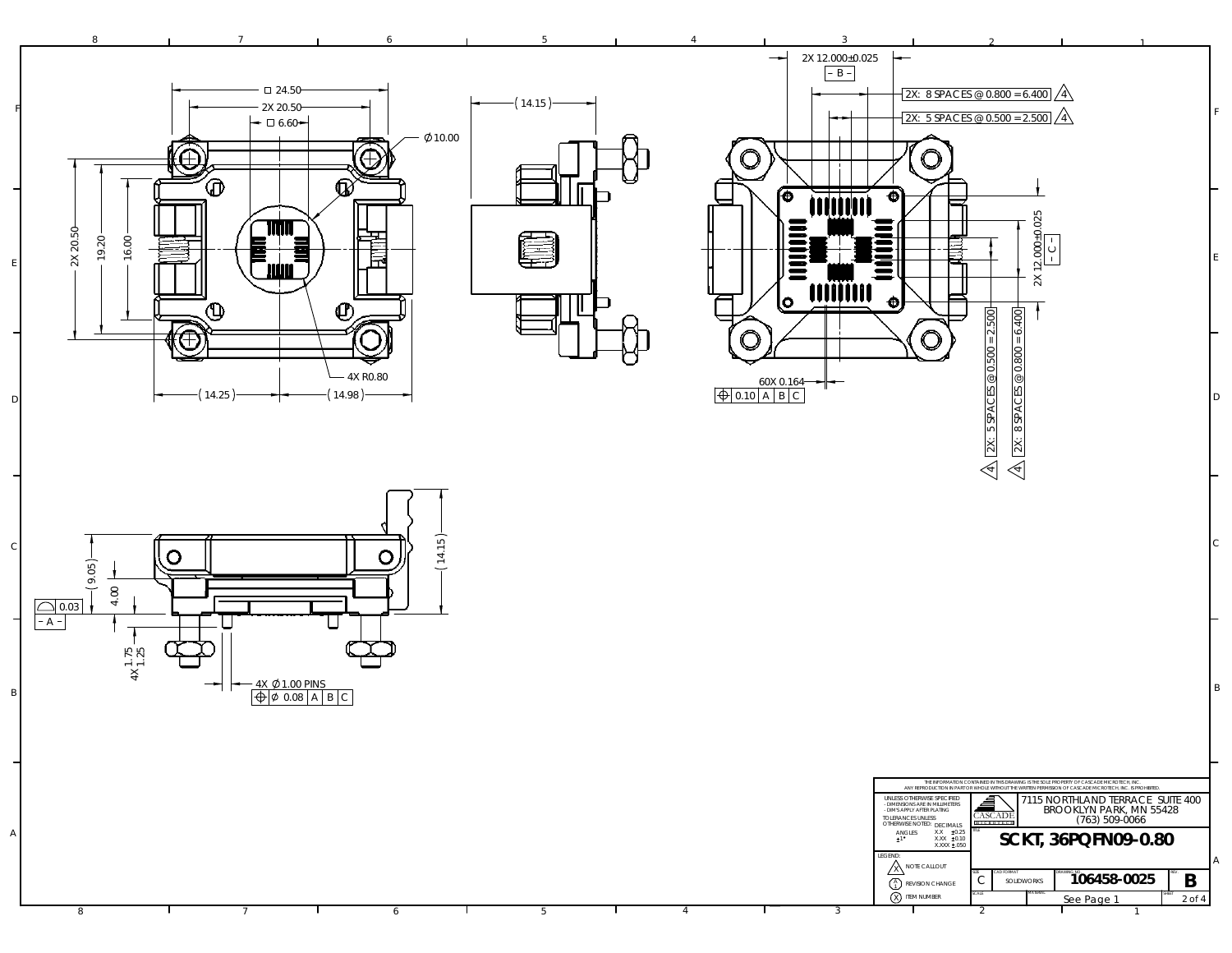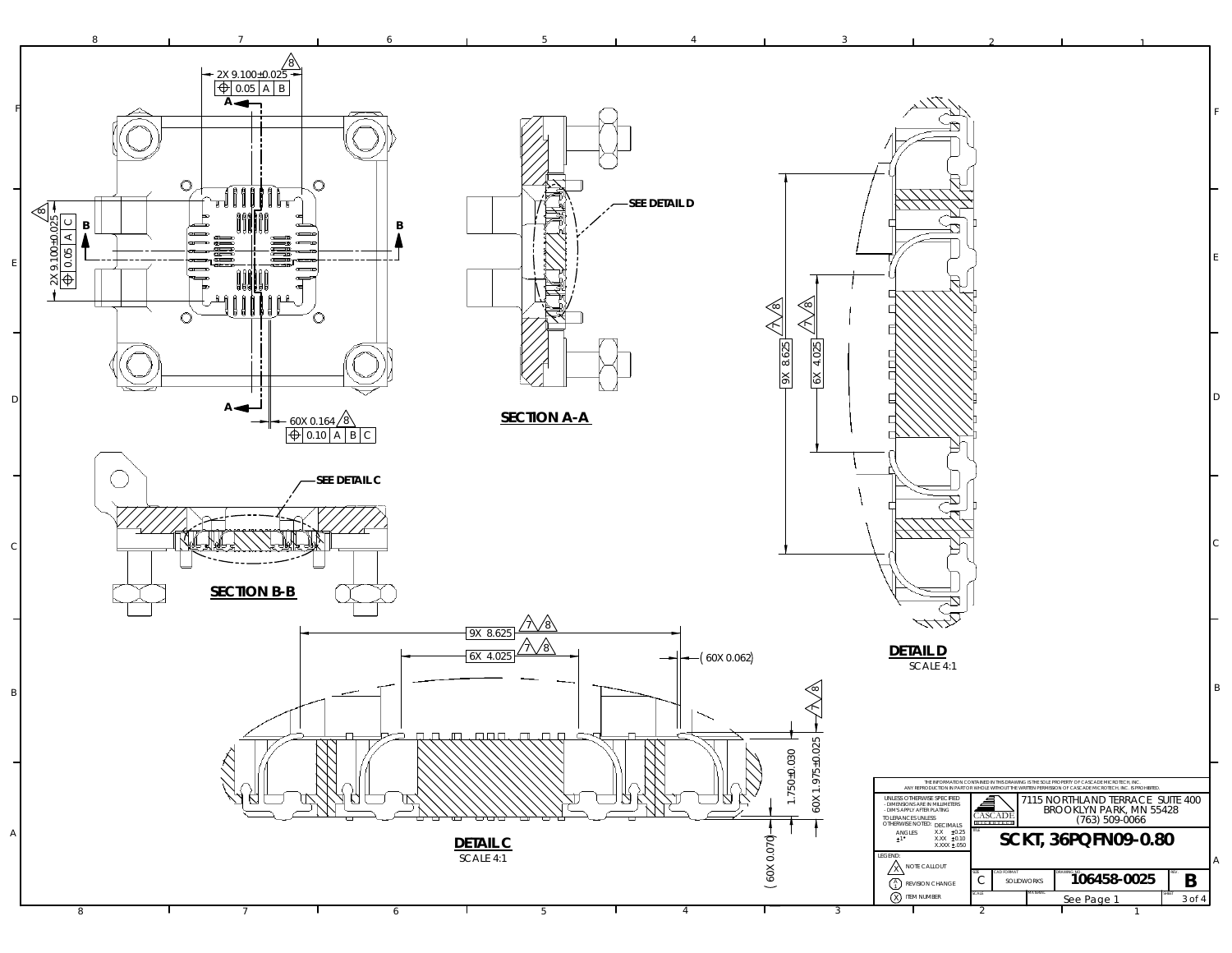